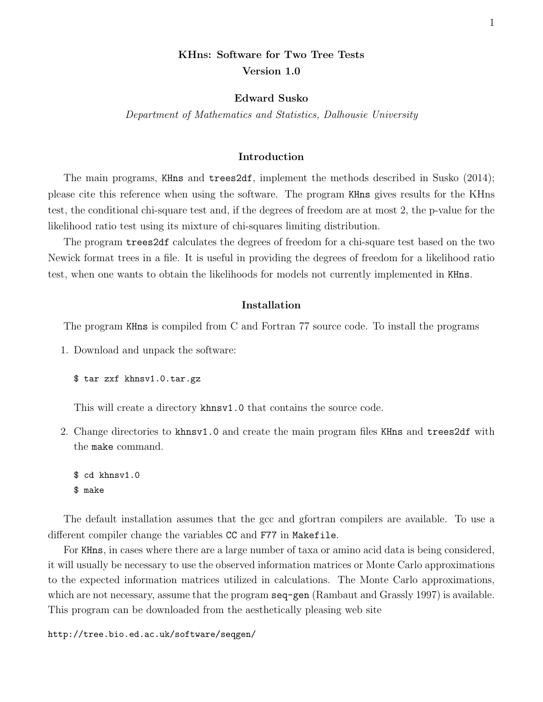# KHns: Software for Two Tree Tests Version 1.0

#### Edward Susko

Department of Mathematics and Statistics, Dalhousie University

# Introduction

The main programs, KHns and trees2df, implement the methods described in Susko (2014); please cite this reference when using the software. The program KHns gives results for the KHns test, the conditional chi-square test and, if the degrees of freedom are at most 2, the p-value for the likelihood ratio test using its mixture of chi-squares limiting distribution.

The program trees2df calculates the degrees of freedom for a chi-square test based on the two Newick format trees in a file. It is useful in providing the degrees of freedom for a likelihood ratio test, when one wants to obtain the likelihoods for models not currently implemented in KHns.

# Installation

The program KHns is compiled from C and Fortran 77 source code. To install the programs

1. Download and unpack the software:

\$ tar zxf khnsv1.0.tar.gz

This will create a directory khnsv1.0 that contains the source code.

2. Change directories to khnsv1.0 and create the main program files KHns and trees2df with the make command.

\$ cd khnsv1.0 \$ make

The default installation assumes that the gcc and gfortran compilers are available. To use a different compiler change the variables CC and F77 in Makefile.

For KHns, in cases where there are a large number of taxa or amino acid data is being considered, it will usually be necessary to use the observed information matrices or Monte Carlo approximations to the expected information matrices utilized in calculations. The Monte Carlo approximations, which are not necessary, assume that the program seq-gen (Rambaut and Grassly 1997) is available. This program can be downloaded from the aesthetically pleasing web site

http://tree.bio.ed.ac.uk/software/seqgen/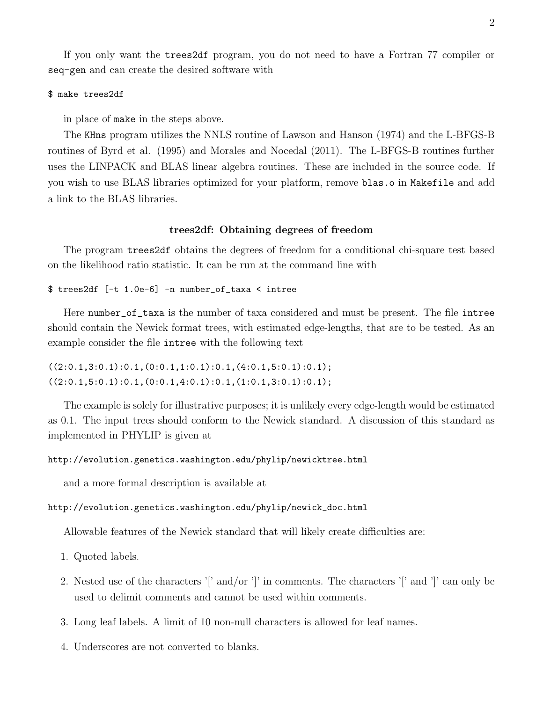If you only want the trees2df program, you do not need to have a Fortran 77 compiler or seq-gen and can create the desired software with

## \$ make trees2df

in place of make in the steps above.

The KHns program utilizes the NNLS routine of Lawson and Hanson (1974) and the L-BFGS-B routines of Byrd et al. (1995) and Morales and Nocedal (2011). The L-BFGS-B routines further uses the LINPACK and BLAS linear algebra routines. These are included in the source code. If you wish to use BLAS libraries optimized for your platform, remove blas.o in Makefile and add a link to the BLAS libraries.

#### trees2df: Obtaining degrees of freedom

The program trees2df obtains the degrees of freedom for a conditional chi-square test based on the likelihood ratio statistic. It can be run at the command line with

## \$ trees2df [-t 1.0e-6] -n number\_of\_taxa < intree

Here number\_of\_taxa is the number of taxa considered and must be present. The file intree should contain the Newick format trees, with estimated edge-lengths, that are to be tested. As an example consider the file intree with the following text

```
((2:0.1,3:0.1):0.1,(0:0.1,1:0.1):0.1,(4:0.1,5:0.1):0.1);((2:0.1,5:0.1):0.1,(0:0.1,4:0.1):0.1,(1:0.1,3:0.1):0.1);
```
The example is solely for illustrative purposes; it is unlikely every edge-length would be estimated as 0.1. The input trees should conform to the Newick standard. A discussion of this standard as implemented in PHYLIP is given at

# http://evolution.genetics.washington.edu/phylip/newicktree.html

and a more formal description is available at

## http://evolution.genetics.washington.edu/phylip/newick\_doc.html

Allowable features of the Newick standard that will likely create difficulties are:

- 1. Quoted labels.
- 2. Nested use of the characters '|' and/or '|' in comments. The characters '|' and '|' can only be used to delimit comments and cannot be used within comments.
- 3. Long leaf labels. A limit of 10 non-null characters is allowed for leaf names.
- 4. Underscores are not converted to blanks.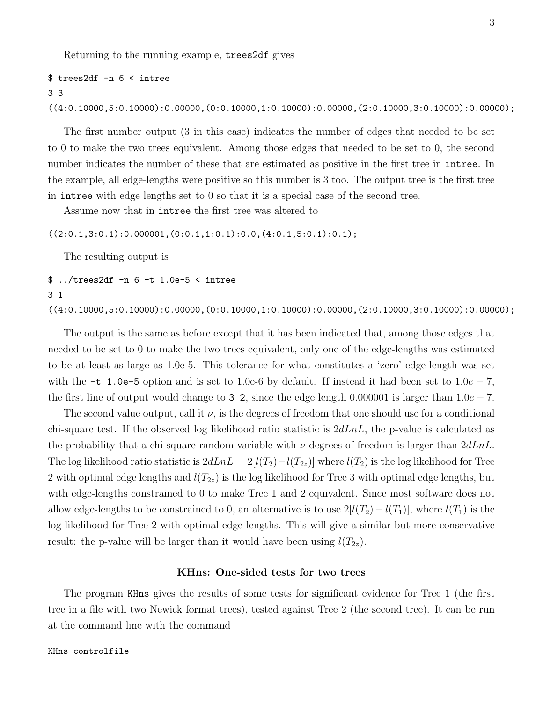Returning to the running example, trees2df gives

```
$ trees2df -n 6 < intree
3 3
((4:0.10000,5:0.10000):0.00000,(0:0.10000,1:0.10000):0.00000,(2:0.10000,3:0.10000):0.00000);
```
The first number output (3 in this case) indicates the number of edges that needed to be set to 0 to make the two trees equivalent. Among those edges that needed to be set to 0, the second number indicates the number of these that are estimated as positive in the first tree in intree. In the example, all edge-lengths were positive so this number is 3 too. The output tree is the first tree in intree with edge lengths set to 0 so that it is a special case of the second tree.

Assume now that in intree the first tree was altered to

 $((2:0.1,3:0.1):0.000001,(0:0.1,1:0.1):0.0,(4:0.1,5:0.1):0.1);$ 

The resulting output is

\$ ../trees2df -n 6 -t 1.0e-5 < intree 3 1

((4:0.10000,5:0.10000):0.00000,(0:0.10000,1:0.10000):0.00000,(2:0.10000,3:0.10000):0.00000);

The output is the same as before except that it has been indicated that, among those edges that needed to be set to 0 to make the two trees equivalent, only one of the edge-lengths was estimated to be at least as large as 1.0e-5. This tolerance for what constitutes a 'zero' edge-length was set with the -t 1.0e-5 option and is set to 1.0e-6 by default. If instead it had been set to  $1.0e - 7$ , the first line of output would change to 3 2, since the edge length 0.000001 is larger than  $1.0e - 7$ .

The second value output, call it  $\nu$ , is the degrees of freedom that one should use for a conditional chi-square test. If the observed log likelihood ratio statistic is  $2dLnL$ , the p-value is calculated as the probability that a chi-square random variable with  $\nu$  degrees of freedom is larger than  $2dLnL$ . The log likelihood ratio statistic is  $2dLnL = 2[l(T_2) - l(T_{2z})]$  where  $l(T_2)$  is the log likelihood for Tree 2 with optimal edge lengths and  $l(T_{2z})$  is the log likelihood for Tree 3 with optimal edge lengths, but with edge-lengths constrained to 0 to make Tree 1 and 2 equivalent. Since most software does not allow edge-lengths to be constrained to 0, an alternative is to use  $2[l(T_2) - l(T_1)]$ , where  $l(T_1)$  is the log likelihood for Tree 2 with optimal edge lengths. This will give a similar but more conservative result: the p-value will be larger than it would have been using  $l(T_{2z})$ .

## KHns: One-sided tests for two trees

The program KHns gives the results of some tests for significant evidence for Tree 1 (the first tree in a file with two Newick format trees), tested against Tree 2 (the second tree). It can be run at the command line with the command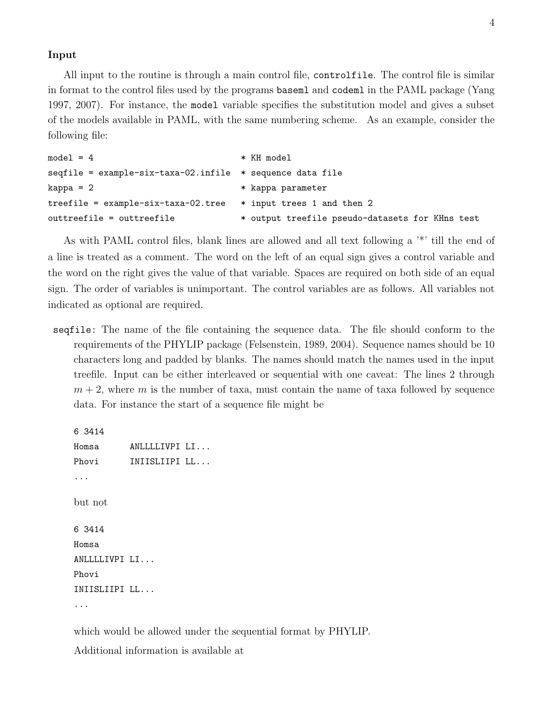# Input

All input to the routine is through a main control file, controlfile. The control file is similar in format to the control files used by the programs baseml and codeml in the PAML package (Yang 1997, 2007). For instance, the model variable specifies the substitution model and gives a subset of the models available in PAML, with the same numbering scheme. As an example, consider the following file:

```
model = 4 * KH model
seqfile = example-six-taxa-02.infile * sequence data file
kappa = 2 * kappa parameter
treefile = example-six-taxa-02.tree * input trees 1 and then 2
outtreefile = outtreefile * output treefile pseudo-datasets for KHns test
```
As with PAML control files, blank lines are allowed and all text following a '\*' till the end of a line is treated as a comment. The word on the left of an equal sign gives a control variable and the word on the right gives the value of that variable. Spaces are required on both side of an equal sign. The order of variables is unimportant. The control variables are as follows. All variables not indicated as optional are required.

seqfile: The name of the file containing the sequence data. The file should conform to the requirements of the PHYLIP package (Felsenstein, 1989, 2004). Sequence names should be 10 characters long and padded by blanks. The names should match the names used in the input treefile. Input can be either interleaved or sequential with one caveat: The lines 2 through  $m + 2$ , where m is the number of taxa, must contain the name of taxa followed by sequence data. For instance the start of a sequence file might be

6 3414

Homsa ANLLLLIVPI LI... Phovi INIISLIIPI LL... ... but not 6 3414 Homsa ANLLLLIVPI LI... Phovi INIISLIIPI LL... ...

which would be allowed under the sequential format by PHYLIP.

Additional information is available at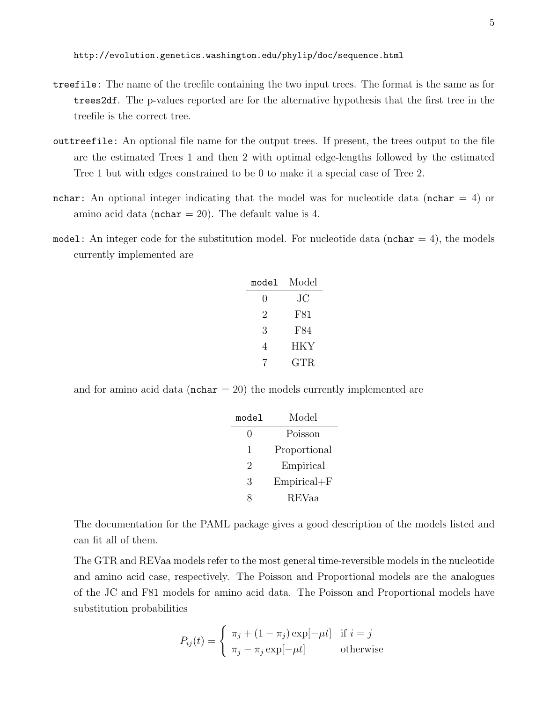http://evolution.genetics.washington.edu/phylip/doc/sequence.html

- treefile: The name of the treefile containing the two input trees. The format is the same as for trees2df. The p-values reported are for the alternative hypothesis that the first tree in the treefile is the correct tree.
- outtreefile: An optional file name for the output trees. If present, the trees output to the file are the estimated Trees 1 and then 2 with optimal edge-lengths followed by the estimated Tree 1 but with edges constrained to be 0 to make it a special case of Tree 2.
- nchar: An optional integer indicating that the model was for nucleotide data (nchar  $= 4$ ) or amino acid data ( $nchar = 20$ ). The default value is 4.
- model: An integer code for the substitution model. For nucleotide data ( $nchar = 4$ ), the models currently implemented are

| model            | Model      |
|------------------|------------|
| $\left( \right)$ | JС         |
| 2                | F81        |
| 3                | F84        |
| 4                | <b>HKY</b> |
|                  | GTR        |

and for amino acid data ( $nchar = 20$ ) the models currently implemented are

| model | Model           |  |
|-------|-----------------|--|
| 0     | Poisson         |  |
| 1     | Proportional    |  |
| 2     | Empirical       |  |
| 3     | $Empirical + F$ |  |
|       | REVaa           |  |

The documentation for the PAML package gives a good description of the models listed and can fit all of them.

The GTR and REVaa models refer to the most general time-reversible models in the nucleotide and amino acid case, respectively. The Poisson and Proportional models are the analogues of the JC and F81 models for amino acid data. The Poisson and Proportional models have substitution probabilities

$$
P_{ij}(t) = \begin{cases} \pi_j + (1 - \pi_j) \exp[-\mu t] & \text{if } i = j \\ \pi_j - \pi_j \exp[-\mu t] & \text{otherwise} \end{cases}
$$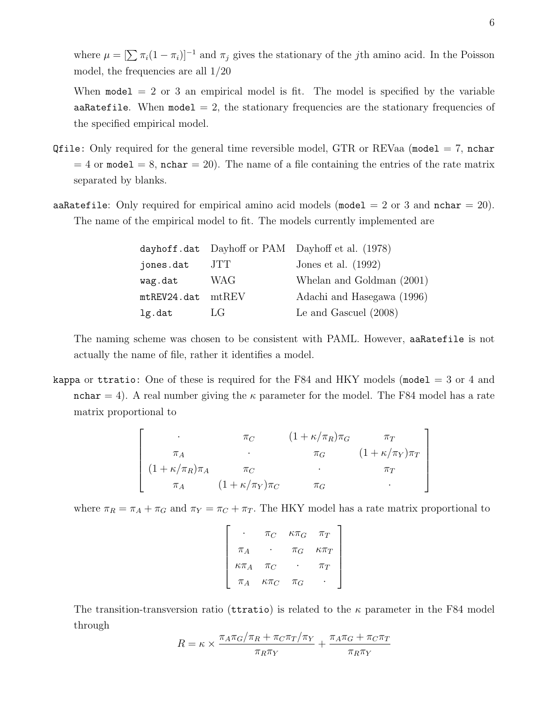where  $\mu = [\sum \pi_i(1 - \pi_i)]^{-1}$  and  $\pi_j$  gives the stationary of the *j*th amino acid. In the Poisson model, the frequencies are all 1/20

When  $\text{model} = 2$  or 3 an empirical model is fit. The model is specified by the variable aaRatefile. When model  $= 2$ , the stationary frequencies are the stationary frequencies of the specified empirical model.

- Qfile: Only required for the general time reversible model, GTR or REVaa (model  $= 7$ , nchar  $= 4$  or model  $= 8$ , nchar  $= 20$ ). The name of a file containing the entries of the rate matrix separated by blanks.
- aaRatefile: Only required for empirical amino acid models (model  $= 2$  or 3 and nchar  $= 20$ ). The name of the empirical model to fit. The models currently implemented are

|             |             | dayhoff.dat Dayhoff or PAM Dayhoff et al. (1978) |
|-------------|-------------|--------------------------------------------------|
| jones.dat   | JTT         | Jones et al. $(1992)$                            |
| wag.dat     | <b>WAG</b>  | Whelan and Goldman (2001)                        |
| mtREV24.dat | $m$ t $REV$ | Adachi and Hasegawa (1996)                       |
| lg.dat      | LG          | Le and Gascuel $(2008)$                          |

The naming scheme was chosen to be consistent with PAML. However, aaRatefile is not actually the name of file, rather it identifies a model.

kappa or ttratio: One of these is required for the F84 and HKY models (model  $=$  3 or 4 and nchar = 4). A real number giving the  $\kappa$  parameter for the model. The F84 model has a rate matrix proportional to

$$
\begin{bmatrix}\n\cdot & \pi_C & (1 + \kappa/\pi_R)\pi_G & \pi_T \\
\pi_A & \cdot & \pi_G & (1 + \kappa/\pi_Y)\pi_T \\
(1 + \kappa/\pi_R)\pi_A & \pi_C & \cdot & \pi_T \\
\pi_A & (1 + \kappa/\pi_Y)\pi_C & \pi_G & \cdot\n\end{bmatrix}
$$

where  $\pi_R = \pi_A + \pi_G$  and  $\pi_Y = \pi_C + \pi_T$ . The HKY model has a rate matrix proportional to

|                | $\pi_C$        | $\kappa \pi_G$ | $\pi_T$        |
|----------------|----------------|----------------|----------------|
| $\pi_A$        |                | $\pi_G$        | $\kappa \pi_T$ |
| $\kappa \pi_A$ | $\pi_C$        |                | $\pi_T$        |
| $\pi_A$        | $\kappa \pi_C$ | $\pi_G$        |                |

The transition-transversion ratio (territories) is related to the  $\kappa$  parameter in the F84 model through

$$
R = \kappa \times \frac{\pi_A \pi_G / \pi_R + \pi_C \pi_T / \pi_Y}{\pi_R \pi_Y} + \frac{\pi_A \pi_G + \pi_C \pi_T}{\pi_R \pi_Y}
$$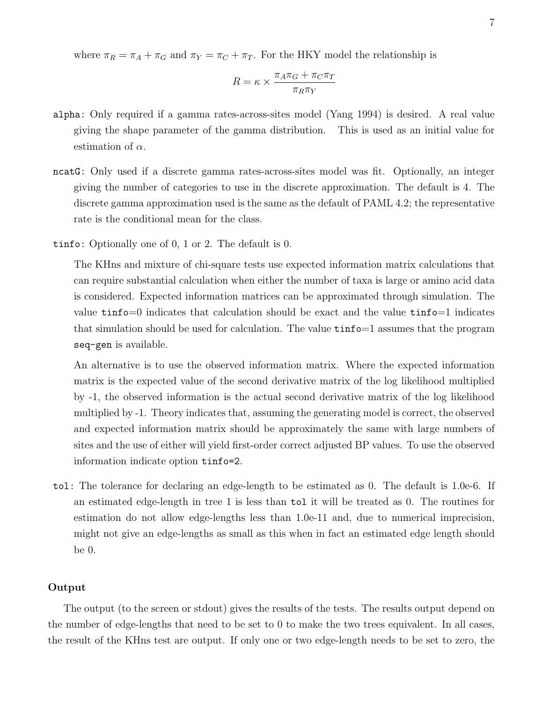where  $\pi_R = \pi_A + \pi_G$  and  $\pi_Y = \pi_C + \pi_T$ . For the HKY model the relationship is

$$
R = \kappa \times \frac{\pi_A \pi_G + \pi_C \pi_T}{\pi_R \pi_Y}
$$

- alpha: Only required if a gamma rates-across-sites model (Yang 1994) is desired. A real value giving the shape parameter of the gamma distribution. This is used as an initial value for estimation of  $\alpha$ .
- ncatG: Only used if a discrete gamma rates-across-sites model was fit. Optionally, an integer giving the number of categories to use in the discrete approximation. The default is 4. The discrete gamma approximation used is the same as the default of PAML 4.2; the representative rate is the conditional mean for the class.
- tinfo: Optionally one of 0, 1 or 2. The default is 0.

The KHns and mixture of chi-square tests use expected information matrix calculations that can require substantial calculation when either the number of taxa is large or amino acid data is considered. Expected information matrices can be approximated through simulation. The value tinfo=0 indicates that calculation should be exact and the value tinfo=1 indicates that simulation should be used for calculation. The value  $\tt{tinfo=1}$  assumes that the program seq-gen is available.

An alternative is to use the observed information matrix. Where the expected information matrix is the expected value of the second derivative matrix of the log likelihood multiplied by -1, the observed information is the actual second derivative matrix of the log likelihood multiplied by -1. Theory indicates that, assuming the generating model is correct, the observed and expected information matrix should be approximately the same with large numbers of sites and the use of either will yield first-order correct adjusted BP values. To use the observed information indicate option tinfo=2.

tol: The tolerance for declaring an edge-length to be estimated as 0. The default is 1.0e-6. If an estimated edge-length in tree 1 is less than tol it will be treated as 0. The routines for estimation do not allow edge-lengths less than 1.0e-11 and, due to numerical imprecision, might not give an edge-lengths as small as this when in fact an estimated edge length should be 0.

# Output

The output (to the screen or stdout) gives the results of the tests. The results output depend on the number of edge-lengths that need to be set to 0 to make the two trees equivalent. In all cases, the result of the KHns test are output. If only one or two edge-length needs to be set to zero, the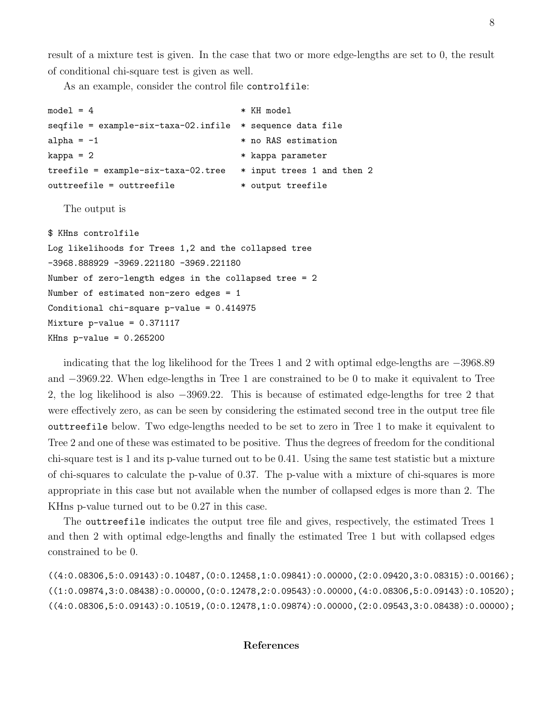result of a mixture test is given. In the case that two or more edge-lengths are set to 0, the result of conditional chi-square test is given as well.

As an example, consider the control file controlfile:

```
model = 4 * KH model
seqfile = example-six-taxa-02.infile * sequence data file
alpha = -1 * no RAS estimation
kappa = 2 * kappa parameter
treefile = example-six-taxa-02.tree * input trees 1 and then 2
outtreefile = outtreefile * output treefile
```
The output is

\$ KHns controlfile Log likelihoods for Trees 1,2 and the collapsed tree -3968.888929 -3969.221180 -3969.221180 Number of zero-length edges in the collapsed tree = 2 Number of estimated non-zero edges = 1 Conditional chi-square p-value = 0.414975 Mixture p-value = 0.371117 KHns  $p$ -value =  $0.265200$ 

indicating that the log likelihood for the Trees 1 and 2 with optimal edge-lengths are −3968.89 and −3969.22. When edge-lengths in Tree 1 are constrained to be 0 to make it equivalent to Tree 2, the log likelihood is also −3969.22. This is because of estimated edge-lengths for tree 2 that were effectively zero, as can be seen by considering the estimated second tree in the output tree file outtreefile below. Two edge-lengths needed to be set to zero in Tree 1 to make it equivalent to Tree 2 and one of these was estimated to be positive. Thus the degrees of freedom for the conditional chi-square test is 1 and its p-value turned out to be 0.41. Using the same test statistic but a mixture of chi-squares to calculate the p-value of 0.37. The p-value with a mixture of chi-squares is more appropriate in this case but not available when the number of collapsed edges is more than 2. The KHns p-value turned out to be 0.27 in this case.

The outtreefile indicates the output tree file and gives, respectively, the estimated Trees 1 and then 2 with optimal edge-lengths and finally the estimated Tree 1 but with collapsed edges constrained to be 0.

((4:0.08306,5:0.09143):0.10487,(0:0.12458,1:0.09841):0.00000,(2:0.09420,3:0.08315):0.00166); ((1:0.09874,3:0.08438):0.00000,(0:0.12478,2:0.09543):0.00000,(4:0.08306,5:0.09143):0.10520); ((4:0.08306,5:0.09143):0.10519,(0:0.12478,1:0.09874):0.00000,(2:0.09543,3:0.08438):0.00000);

# References